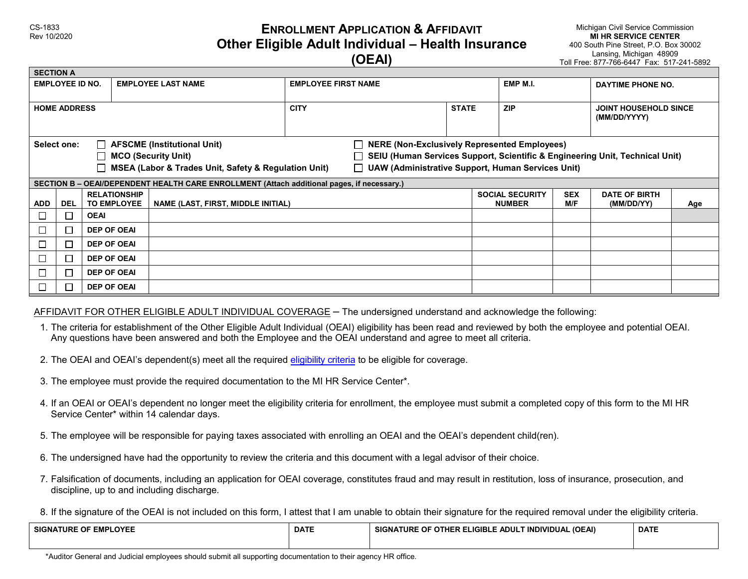**ENROLLMENT APPLICATION & AFFIDAVIT Other Eligible Adult Individual – Health Insurance**

Michigan Civil Service Commission **MI HR SERVICE CENTER** 400 South Pine Street, P.O. Box 30002 Lansing, Michigan 48909 Toll Free: 877-766-6447 Fax: 517-241-5892

|--|

| <b>SECTION A</b>                                                                                                                                                                                                                                                                                                                                                 |            |                                           |                           |                                           |                             |  |  |                                         |                   |                                              |     |
|------------------------------------------------------------------------------------------------------------------------------------------------------------------------------------------------------------------------------------------------------------------------------------------------------------------------------------------------------------------|------------|-------------------------------------------|---------------------------|-------------------------------------------|-----------------------------|--|--|-----------------------------------------|-------------------|----------------------------------------------|-----|
| <b>EMPLOYEE ID NO.</b>                                                                                                                                                                                                                                                                                                                                           |            |                                           | <b>EMPLOYEE LAST NAME</b> |                                           | <b>EMPLOYEE FIRST NAME</b>  |  |  | EMP M.I.                                |                   | DAYTIME PHONE NO.                            |     |
| <b>HOME ADDRESS</b>                                                                                                                                                                                                                                                                                                                                              |            |                                           |                           |                                           | <b>CITY</b><br><b>STATE</b> |  |  | <b>ZIP</b>                              |                   | <b>JOINT HOUSEHOLD SINCE</b><br>(MM/DD/YYYY) |     |
| Select one:<br>$\Box$ AFSCME (Institutional Unit)<br><b>NERE (Non-Exclusively Represented Employees)</b><br><b>SEIU (Human Services Support, Scientific &amp; Engineering Unit, Technical Unit)</b><br>$\Box$ MCO (Security Unit)<br>UAW (Administrative Support, Human Services Unit)<br>□ MSEA (Labor & Trades Unit, Safety & Regulation Unit)<br>$\mathbf{L}$ |            |                                           |                           |                                           |                             |  |  |                                         |                   |                                              |     |
| SECTION B – OEAI/DEPENDENT HEALTH CARE ENROLLMENT (Attach additional pages, if necessary.)                                                                                                                                                                                                                                                                       |            |                                           |                           |                                           |                             |  |  |                                         |                   |                                              |     |
| <b>ADD</b>                                                                                                                                                                                                                                                                                                                                                       | <b>DEL</b> | <b>RELATIONSHIP</b><br><b>TO EMPLOYEE</b> |                           | <b>NAME (LAST, FIRST, MIDDLE INITIAL)</b> |                             |  |  | <b>SOCIAL SECURITY</b><br><b>NUMBER</b> | <b>SEX</b><br>M/F | <b>DATE OF BIRTH</b><br>(MM/DD/YY)           | Age |
|                                                                                                                                                                                                                                                                                                                                                                  | П          | <b>OEAI</b>                               |                           |                                           |                             |  |  |                                         |                   |                                              |     |
|                                                                                                                                                                                                                                                                                                                                                                  | $\Box$     | <b>DEP OF OEAL</b>                        |                           |                                           |                             |  |  |                                         |                   |                                              |     |
|                                                                                                                                                                                                                                                                                                                                                                  | П          | <b>DEP OF OEAI</b>                        |                           |                                           |                             |  |  |                                         |                   |                                              |     |
| г                                                                                                                                                                                                                                                                                                                                                                | $\Box$     | <b>DEP OF OEAI</b>                        |                           |                                           |                             |  |  |                                         |                   |                                              |     |
|                                                                                                                                                                                                                                                                                                                                                                  | $\Box$     | <b>DEP OF OEAL</b>                        |                           |                                           |                             |  |  |                                         |                   |                                              |     |
|                                                                                                                                                                                                                                                                                                                                                                  | $\Box$     | <b>DEP OF OEAI</b>                        |                           |                                           |                             |  |  |                                         |                   |                                              |     |

#### AFFIDAVIT FOR OTHER ELIGIBLE ADULT INDIVIDUAL COVERAGE - The undersigned understand and acknowledge the following:

- 1. The criteria for establishment of the Other Eligible Adult Individual (OEAI) eligibility has been read and reviewed by both the employee and potential OEAI. Any questions have been answered and both the Employee and the OEAI understand and agree to meet all criteria.
- 2. The OEAI and OEAI's dependent(s) meet all the required [eligibility criteria](#page-1-0) to be eligible for coverage.
- 3. The employee must provide the required documentation to the MI HR Service Center\*.
- 4. If an OEAI or OEAI's dependent no longer meet the eligibility criteria for enrollment, the employee must submit a completed copy of this form to the MI HR Service Center\* within 14 calendar days.
- 5. The employee will be responsible for paying taxes associated with enrolling an OEAI and the OEAI's dependent child(ren).
- 6. The undersigned have had the opportunity to review the criteria and this document with a legal advisor of their choice.
- 7. Falsification of documents, including an application for OEAI coverage, constitutes fraud and may result in restitution, loss of insurance, prosecution, and discipline, up to and including discharge.
- 8. If the signature of the OEAI is not included on this form, I attest that I am unable to obtain their signature for the required removal under the eligibility criteria.

| <b>OF EMPLOYEE</b><br><b>SIGNA</b><br>.rure | <b>DATE</b> | (OEAI)<br>' INDIVIDUAL<br>` ELIGIBLE ADUL<br>OTHER '<br>$\bigcup$ URF $\bigcap$<br>SIGNAI<br>v | <b>DATE</b> |
|---------------------------------------------|-------------|------------------------------------------------------------------------------------------------|-------------|
|                                             |             |                                                                                                |             |

\*Auditor General and Judicial employees should submit all supporting documentation to their agency HR office.